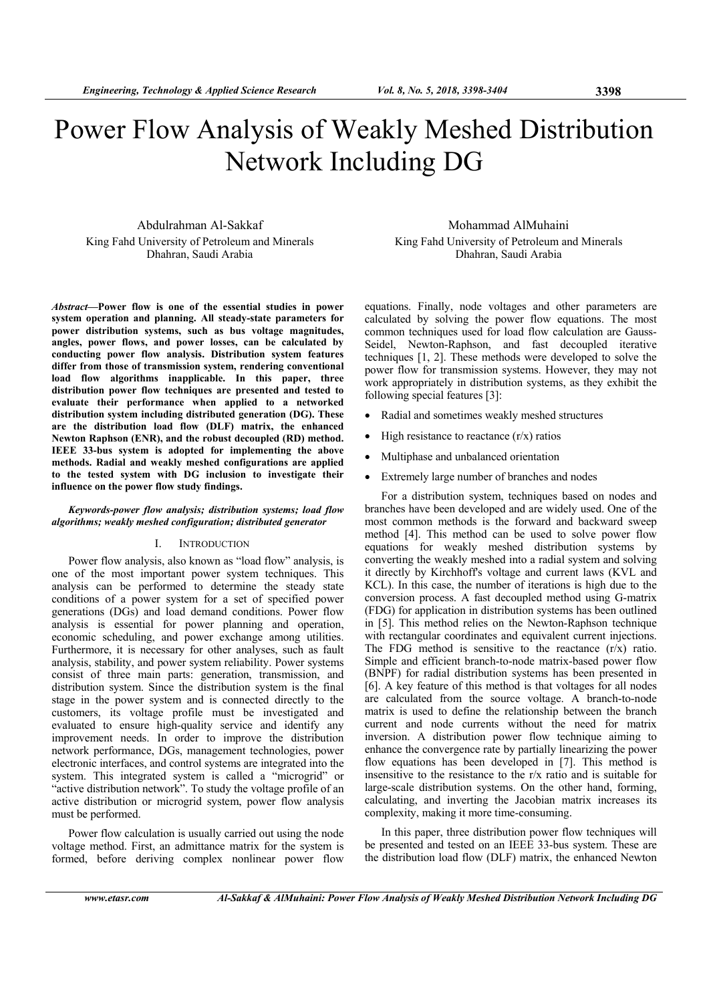# Power Flow Analysis of Weakly Meshed Distribution Network Including DG

Abdulrahman Al-Sakkaf King Fahd University of Petroleum and Minerals Dhahran, Saudi Arabia

*Abstract***—Power flow is one of the essential studies in power system operation and planning. All steady-state parameters for power distribution systems, such as bus voltage magnitudes, angles, power flows, and power losses, can be calculated by conducting power flow analysis. Distribution system features differ from those of transmission system, rendering conventional load flow algorithms inapplicable. In this paper, three distribution power flow techniques are presented and tested to evaluate their performance when applied to a networked distribution system including distributed generation (DG). These are the distribution load flow (DLF) matrix, the enhanced Newton Raphson (ENR), and the robust decoupled (RD) method. IEEE 33-bus system is adopted for implementing the above methods. Radial and weakly meshed configurations are applied to the tested system with DG inclusion to investigate their influence on the power flow study findings.** 

### *Keywords-power flow analysis; distribution systems; load flow algorithms; weakly meshed configuration; distributed generator*

#### I. INTRODUCTION

Power flow analysis, also known as "load flow" analysis, is one of the most important power system techniques. This analysis can be performed to determine the steady state conditions of a power system for a set of specified power generations (DGs) and load demand conditions. Power flow analysis is essential for power planning and operation, economic scheduling, and power exchange among utilities. Furthermore, it is necessary for other analyses, such as fault analysis, stability, and power system reliability. Power systems consist of three main parts: generation, transmission, and distribution system. Since the distribution system is the final stage in the power system and is connected directly to the customers, its voltage profile must be investigated and evaluated to ensure high-quality service and identify any improvement needs. In order to improve the distribution network performance, DGs, management technologies, power electronic interfaces, and control systems are integrated into the system. This integrated system is called a "microgrid" or "active distribution network". To study the voltage profile of an active distribution or microgrid system, power flow analysis must be performed.

Power flow calculation is usually carried out using the node voltage method. First, an admittance matrix for the system is formed, before deriving complex nonlinear power flow

Mohammad AlMuhaini King Fahd University of Petroleum and Minerals Dhahran, Saudi Arabia

equations. Finally, node voltages and other parameters are calculated by solving the power flow equations. The most common techniques used for load flow calculation are Gauss-Seidel, Newton-Raphson, and fast decoupled iterative techniques [1, 2]. These methods were developed to solve the power flow for transmission systems. However, they may not work appropriately in distribution systems, as they exhibit the following special features [3]:

- Radial and sometimes weakly meshed structures
- High resistance to reactance  $(r/x)$  ratios
- Multiphase and unbalanced orientation
- Extremely large number of branches and nodes

For a distribution system, techniques based on nodes and branches have been developed and are widely used. One of the most common methods is the forward and backward sweep method [4]. This method can be used to solve power flow equations for weakly meshed distribution systems by converting the weakly meshed into a radial system and solving it directly by Kirchhoff's voltage and current laws (KVL and KCL). In this case, the number of iterations is high due to the conversion process. A fast decoupled method using G-matrix (FDG) for application in distribution systems has been outlined in [5]. This method relies on the Newton-Raphson technique with rectangular coordinates and equivalent current injections. The FDG method is sensitive to the reactance  $(r/x)$  ratio. Simple and efficient branch-to-node matrix-based power flow (BNPF) for radial distribution systems has been presented in [6]. A key feature of this method is that voltages for all nodes are calculated from the source voltage. A branch-to-node matrix is used to define the relationship between the branch current and node currents without the need for matrix inversion. A distribution power flow technique aiming to enhance the convergence rate by partially linearizing the power flow equations has been developed in [7]. This method is insensitive to the resistance to the r/x ratio and is suitable for large-scale distribution systems. On the other hand, forming, calculating, and inverting the Jacobian matrix increases its complexity, making it more time-consuming.

In this paper, three distribution power flow techniques will be presented and tested on an IEEE 33-bus system. These are the distribution load flow (DLF) matrix, the enhanced Newton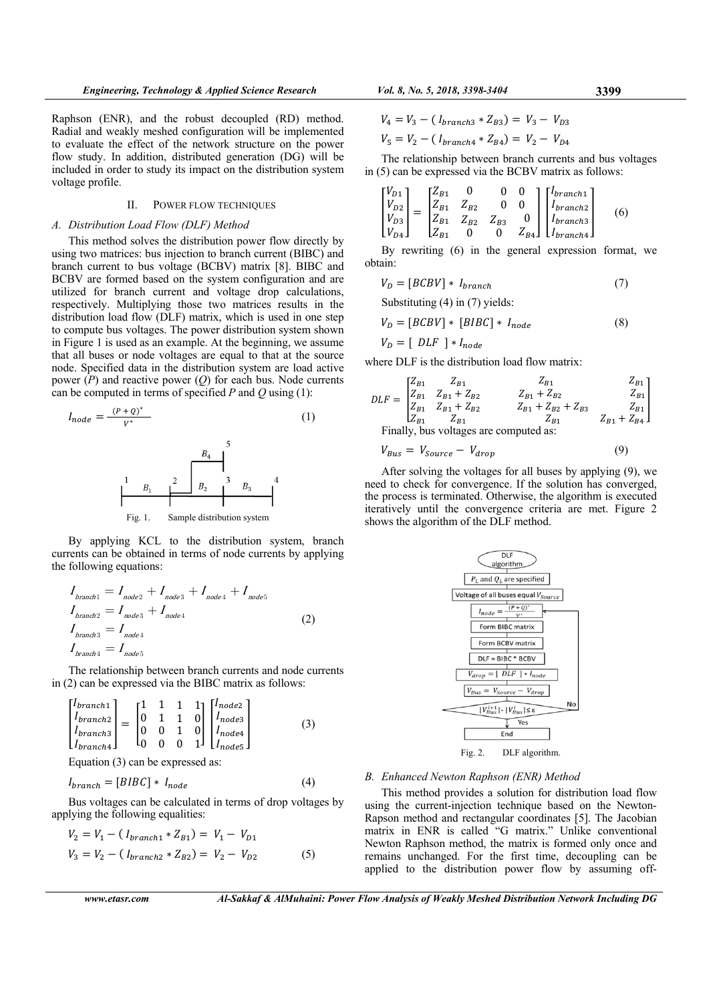Raphson (ENR), and the robust decoupled (RD) method. Radial and weakly meshed configuration will be implemented to evaluate the effect of the network structure on the power flow study. In addition, distributed generation (DG) will be included in order to study its impact on the distribution system voltage profile.

# II. POWER FLOW TECHNIQUES

#### *A. Distribution Load Flow (DLF) Method*

This method solves the distribution power flow directly by using two matrices: bus injection to branch current (BIBC) and branch current to bus voltage (BCBV) matrix [8]. BIBC and BCBV are formed based on the system configuration and are utilized for branch current and voltage drop calculations, respectively. Multiplying those two matrices results in the distribution load flow (DLF) matrix, which is used in one step to compute bus voltages. The power distribution system shown in Figure 1 is used as an example. At the beginning, we assume that all buses or node voltages are equal to that at the source node. Specified data in the distribution system are load active power (*P*) and reactive power (*Q*) for each bus. Node currents can be computed in terms of specified *P* and *Q* using (1):

ܫௗ ൌ ሺ ା ொሻ∗ <sup>∗</sup> (1) Fig. 1. Sample distribution system

By applying KCL to the distribution system, branch currents can be obtained in terms of node currents by applying the following equations:

$$
I_{branch1} = I_{node2} + I_{node3} + I_{node4} + I_{node5}
$$
  
\n
$$
I_{branch2} = I_{node3} + I_{node4}
$$
  
\n
$$
I_{branch3} = I_{node4}
$$
  
\n
$$
I_{branch4} = I_{node5}
$$
\n(2)

The relationship between branch currents and node currents in (2) can be expressed via the BIBC matrix as follows:

$$
\begin{bmatrix} I_{branch1} \\ I_{branch2} \\ I_{branch3} \\ I_{branch4} \end{bmatrix} = \begin{bmatrix} 1 & 1 & 1 & 1 \\ 0 & 1 & 1 & 0 \\ 0 & 0 & 1 & 0 \\ 0 & 0 & 0 & 1 \end{bmatrix} \begin{bmatrix} I_{node2} \\ I_{node3} \\ I_{node4} \\ I_{node5} \end{bmatrix}
$$
 (3)

Equation (3) can be expressed as:

$$
I_{branch} = [BIBC] * I_{node} \tag{4}
$$

Bus voltages can be calculated in terms of drop voltages by applying the following equalities:

$$
V_2 = V_1 - (I_{branch1} * Z_{B1}) = V_1 - V_{D1}
$$
  
\n
$$
V_3 = V_2 - (I_{branch2} * Z_{B2}) = V_2 - V_{D2}
$$
 (5)

$$
V_4 = V_3 - (I_{branch3} * Z_{B3}) = V_3 - V_{D3}
$$

$$
V_5 = V_2 - (I_{branch4} * Z_{B4}) = V_2 - V_{D4}
$$

The relationship between branch currents and bus voltages in (5) can be expressed via the BCBV matrix as follows:

$$
\begin{bmatrix} V_{D1} \\ V_{D2} \\ V_{D3} \\ V_{D4} \end{bmatrix} = \begin{bmatrix} Z_{B1} & 0 & 0 & 0 \\ Z_{B1} & Z_{B2} & 0 & 0 \\ Z_{B1} & Z_{B2} & Z_{B3} & 0 \\ Z_{B1} & 0 & 0 & Z_{B4} \end{bmatrix} \begin{bmatrix} I_{branch1} \\ I_{branch2} \\ I_{branch3} \\ I_{branch4} \end{bmatrix}
$$
 (6)

By rewriting (6) in the general expression format, we obtain:

$$
V_D = [BCBV] * I_{branch} \t\t(7)
$$

Substituting (4) in (7) yields:

$$
V_D = [BCBV] * [BIBC] * I_{node}
$$
\n
$$
(8)
$$

$$
V_D = [ \; DLF \; ] * I_{node}
$$

where DLF is the distribution load flow matrix:

$$
DLF = \begin{bmatrix} Z_{B1} & Z_{B1} & Z_{B1} & Z_{B1} \\ Z_{B1} & Z_{B1} + Z_{B2} & Z_{B1} + Z_{B2} & Z_{B1} \\ Z_{B1} & Z_{B1} + Z_{B2} & Z_{B1} + Z_{B2} + Z_{B3} & Z_{B1} \\ Z_{B1} & Z_{B1} & Z_{B1} & Z_{B1} + Z_{B4} \end{bmatrix}
$$
  
Finally, bus voltages are computed as:

$$
V_{Bus} = V_{Source} - V_{drop} \tag{9}
$$

After solving the voltages for all buses by applying (9), we need to check for convergence. If the solution has converged, the process is terminated. Otherwise, the algorithm is executed iteratively until the convergence criteria are met. Figure 2 shows the algorithm of the DLF method.



#### *B. Enhanced Newton Raphson (ENR) Method*

This method provides a solution for distribution load flow using the current-injection technique based on the Newton-Rapson method and rectangular coordinates [5]. The Jacobian matrix in ENR is called "G matrix." Unlike conventional Newton Raphson method, the matrix is formed only once and remains unchanged. For the first time, decoupling can be applied to the distribution power flow by assuming off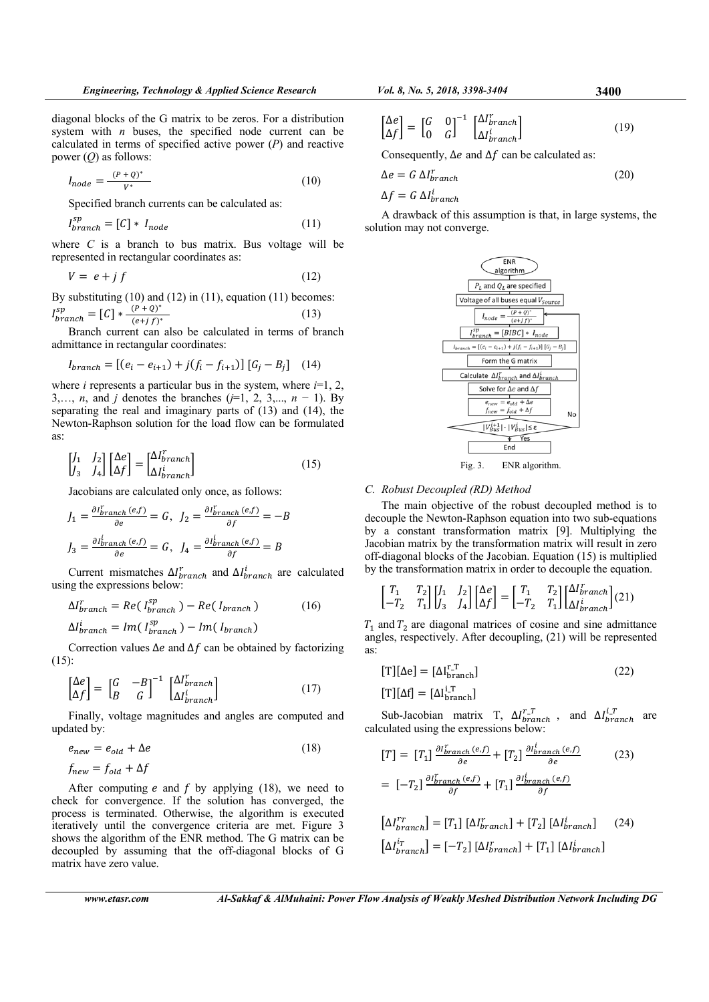diagonal blocks of the G matrix to be zeros. For a distribution system with *n* buses, the specified node current can be calculated in terms of specified active power (*P*) and reactive power (*Q*) as follows:

$$
I_{node} = \frac{(P+Q)^*}{V^*} \tag{10}
$$

Specified branch currents can be calculated as:

$$
I_{branch}^{sp} = [C] * I_{node}
$$
 (11)

where *C* is a branch to bus matrix. Bus voltage will be represented in rectangular coordinates as:

$$
V = e + j f \tag{12}
$$

By substituting  $(10)$  and  $(12)$  in  $(11)$ , equation  $(11)$  becomes:  $I_{branch}^{sp} = [C] * \frac{(P+Q)^{*}}{(e+jf)^{*}}$  (13)

Branch current can also be calculated in terms of branch admittance in rectangular coordinates:

$$
I_{branch} = [(e_i - e_{i+1}) + j(f_i - f_{i+1})] [G_j - B_j] \quad (14)
$$

where *i* represents a particular bus in the system, where  $i=1, 2,$ 3,…, *n*, and *j* denotes the branches (*j*=1, 2, 3,..., *n* − 1). By separating the real and imaginary parts of (13) and (14), the Newton-Raphson solution for the load flow can be formulated as:

$$
\begin{bmatrix} J_1 & J_2 \\ J_3 & J_4 \end{bmatrix} \begin{bmatrix} \Delta e \\ \Delta f \end{bmatrix} = \begin{bmatrix} \Delta I_{branch}^T \\ \Delta I_{branch}^T \end{bmatrix}
$$
 (15)

Jacobians are calculated only once, as follows:

$$
J_1 = \frac{\partial I_{branch}^f(e,f)}{\partial e} = G, \quad J_2 = \frac{\partial I_{branch}^f(e,f)}{\partial f} = -B
$$

$$
J_3 = \frac{\partial I_{branch}^i(e,f)}{\partial e} = G, \quad J_4 = \frac{\partial I_{branch}^i(e,f)}{\partial f} = B
$$

Current mismatches  $\Delta I_{branch}^r$  and  $\Delta I_{branch}^i$  are calculated using the expressions below:

$$
\Delta I_{branch}^{r} = Re(I_{branch}^{sp}) - Re(I_{branch})
$$
\n
$$
\Delta I_{branch}^{i} = Im(I_{branch}^{sp}) - Im(I_{branch})
$$
\n(16)

Correction values  $\Delta e$  and  $\Delta f$  can be obtained by factorizing (15):

$$
\begin{bmatrix} \Delta e \\ \Delta f \end{bmatrix} = \begin{bmatrix} G & -B \\ B & G \end{bmatrix}^{-1} \begin{bmatrix} \Delta l_{branch}^r \\ \Delta l_{branch}^i \end{bmatrix}
$$
 (17)

Finally, voltage magnitudes and angles are computed and updated by:

$$
e_{new} = e_{old} + \Delta e \tag{18}
$$

$$
f_{new} = f_{old} + \Delta f
$$

After computing  $e$  and  $f$  by applying (18), we need to check for convergence. If the solution has converged, the process is terminated. Otherwise, the algorithm is executed iteratively until the convergence criteria are met. Figure 3 shows the algorithm of the ENR method. The G matrix can be decoupled by assuming that the off-diagonal blocks of G matrix have zero value.

$$
\begin{bmatrix} \Delta e \\ \Delta f \end{bmatrix} = \begin{bmatrix} G & 0 \\ 0 & G \end{bmatrix}^{-1} \begin{bmatrix} \Delta I_{branch}^t \\ \Delta I_{branch}^i \end{bmatrix}
$$
 (19)

Consequently,  $\Delta e$  and  $\Delta f$  can be calculated as:

$$
\Delta e = G \Delta l_{branch}^r
$$
  
\n
$$
\Delta f = G \Delta l_{branch}^i
$$
\n(20)

A drawback of this assumption is that, in large systems, the solution may not converge.



Fig. 3. ENR algorithm.

#### *C. Robust Decoupled (RD) Method*

The main objective of the robust decoupled method is to decouple the Newton-Raphson equation into two sub-equations by a constant transformation matrix [9]. Multiplying the Jacobian matrix by the transformation matrix will result in zero off-diagonal blocks of the Jacobian. Equation (15) is multiplied by the transformation matrix in order to decouple the equation.

$$
\begin{bmatrix} T_1 & T_2 \\ -T_2 & T_1 \end{bmatrix} \begin{bmatrix} J_1 & J_2 \\ J_3 & J_4 \end{bmatrix} \begin{bmatrix} \Delta e \\ \Delta f \end{bmatrix} = \begin{bmatrix} T_1 & T_2 \\ -T_2 & T_1 \end{bmatrix} \begin{bmatrix} \Delta I_{branch}^r \\ \Delta I_{branch}^i \end{bmatrix} (21)
$$

 $T_1$  and  $T_2$  are diagonal matrices of cosine and sine admittance angles, respectively. After decoupling, (21) will be represented as:

$$
[T][\Delta e] = [\Delta I_{branch}^{r,T}]
$$
\n
$$
[T][\Delta f] = [\Delta I_{branch}^{i,T}]
$$
\n(22)

Sub-Jacobian matrix T,  $\Delta I_{branch}^{r}$ , and  $\Delta I_{branch}^{i}$  are calculated using the expressions below:

$$
[T] = [T_1] \frac{\partial l_{branch}^r(e,f)}{\partial e} + [T_2] \frac{\partial l_{branch}^i(e,f)}{\partial e}
$$
  

$$
= [-T_2] \frac{\partial l_{branch}^r(e,f)}{\partial f} + [T_1] \frac{\partial l_{branch}^i(e,f)}{\partial f}
$$
 (23)

$$
\begin{aligned} \left[\Delta I_{branch}^{r_{T}}\right] &= \left[T_{1}\right] \left[\Delta I_{branch}^{r}\right] + \left[T_{2}\right] \left[\Delta I_{branch}^{i}\right] \end{aligned} \tag{24}
$$
\n
$$
\begin{aligned} \left[\Delta I_{branch}^{ir}\right] &= \left[-T_{2}\right] \left[\Delta I_{branch}^{r}\right] + \left[T_{1}\right] \left[\Delta I_{branch}^{i}\right] \end{aligned}
$$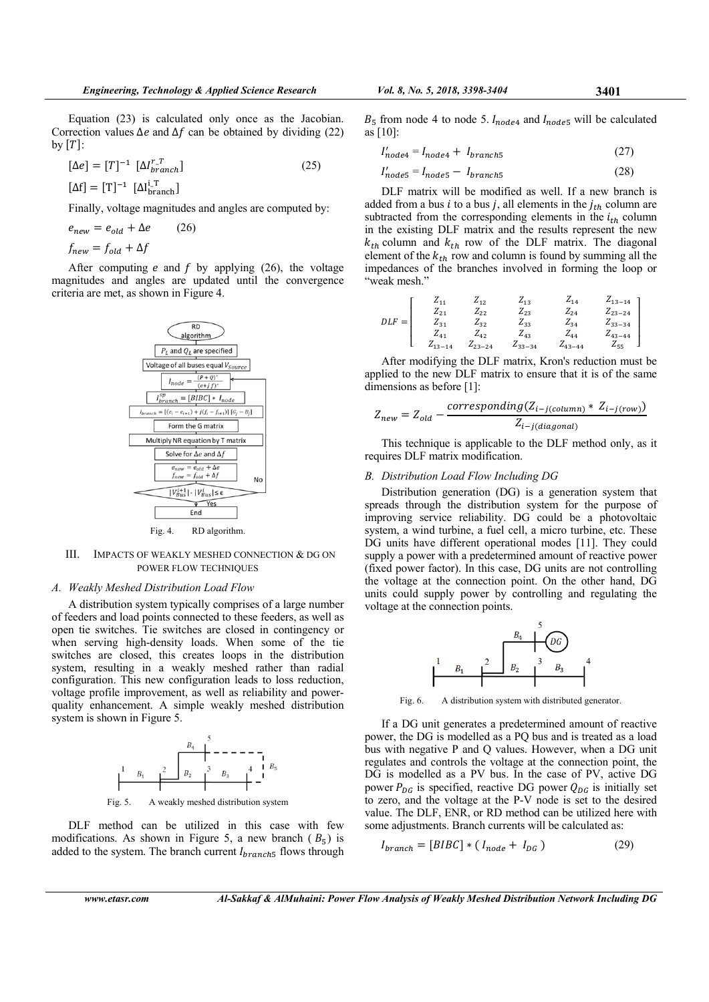$$
[\Delta e] = [T]^{-1} [\Delta I_{branch}^{r\_T}]
$$
\n
$$
[\Delta f] = [T]^{-1} [\Delta I_{branch}^{i\_T}]
$$
\n(25)

Finally, voltage magnitudes and angles are computed by:

$$
e_{new} = e_{old} + \Delta e \qquad (26)
$$
  

$$
f_{new} = f_{old} + \Delta f
$$

After computing  $e$  and  $f$  by applying (26), the voltage magnitudes and angles are updated until the convergence criteria are met, as shown in Figure 4.



#### Fig. 4. RD algorithm.

# III. IMPACTS OF WEAKLY MESHED CONNECTION & DG ON POWER FLOW TECHNIQUES

#### *A. Weakly Meshed Distribution Load Flow*

A distribution system typically comprises of a large number of feeders and load points connected to these feeders, as well as open tie switches. Tie switches are closed in contingency or when serving high-density loads. When some of the tie switches are closed, this creates loops in the distribution system, resulting in a weakly meshed rather than radial configuration. This new configuration leads to loss reduction, voltage profile improvement, as well as reliability and powerquality enhancement. A simple weakly meshed distribution system is shown in Figure 5.



Fig. 5. A weakly meshed distribution system

DLF method can be utilized in this case with few modifications. As shown in Figure 5, a new branch ( $B_5$ ) is added to the system. The branch current  $I<sub>branch5</sub>$  flows through

 $B_5$  from node 4 to node 5.  $I_{node4}$  and  $I_{node5}$  will be calculated as [10]:

$$
I'_{node4} = I_{node4} + I_{branch5}
$$
 (27)

$$
I'_{node5} = I_{node5} - I_{branch5}
$$
 (28)

DLF matrix will be modified as well. If a new branch is added from a bus *i* to a bus *j*, all elements in the  $j_{th}$  column are subtracted from the corresponding elements in the  $i_{th}$  column in the existing DLF matrix and the results represent the new  $k_{th}$  column and  $k_{th}$  row of the DLF matrix. The diagonal element of the  $k_{th}$  row and column is found by summing all the impedances of the branches involved in forming the loop or "weak mesh."

$$
DLF = \begin{bmatrix} Z_{11} & Z_{12} & Z_{13} & Z_{14} & Z_{13-14} \\ Z_{21} & Z_{22} & Z_{23} & Z_{24} & Z_{23-24} \\ Z_{31} & Z_{32} & Z_{33} & Z_{34} & Z_{33-34} \\ Z_{41} & Z_{42} & Z_{43} & Z_{44} & Z_{43-44} \\ Z_{13-14} & Z_{23-24} & Z_{33-34} & Z_{43-44} & Z_{55} \end{bmatrix}
$$

After modifying the DLF matrix, Kron's reduction must be applied to the new DLF matrix to ensure that it is of the same dimensions as before [1]:

$$
Z_{new} = Z_{old} - \frac{corresponding(Z_{i-j(column) * Z_{i-j(row)})}}{Z_{i-j(diagonal)}}
$$

This technique is applicable to the DLF method only, as it requires DLF matrix modification.

#### *B. Distribution Load Flow Including DG*

Distribution generation (DG) is a generation system that spreads through the distribution system for the purpose of improving service reliability. DG could be a photovoltaic system, a wind turbine, a fuel cell, a micro turbine, etc. These DG units have different operational modes [11]. They could supply a power with a predetermined amount of reactive power (fixed power factor). In this case, DG units are not controlling the voltage at the connection point. On the other hand, DG units could supply power by controlling and regulating the voltage at the connection points.



Fig. 6. A distribution system with distributed generator.

If a DG unit generates a predetermined amount of reactive power, the DG is modelled as a PQ bus and is treated as a load bus with negative P and Q values. However, when a DG unit regulates and controls the voltage at the connection point, the DG is modelled as a PV bus. In the case of PV, active DG power  $P_{DG}$  is specified, reactive DG power  $Q_{DG}$  is initially set to zero, and the voltage at the P-V node is set to the desired value. The DLF, ENR, or RD method can be utilized here with some adjustments. Branch currents will be calculated as:

$$
I_{branch} = [B I B C] * (I_{node} + I_{DG}) \tag{29}
$$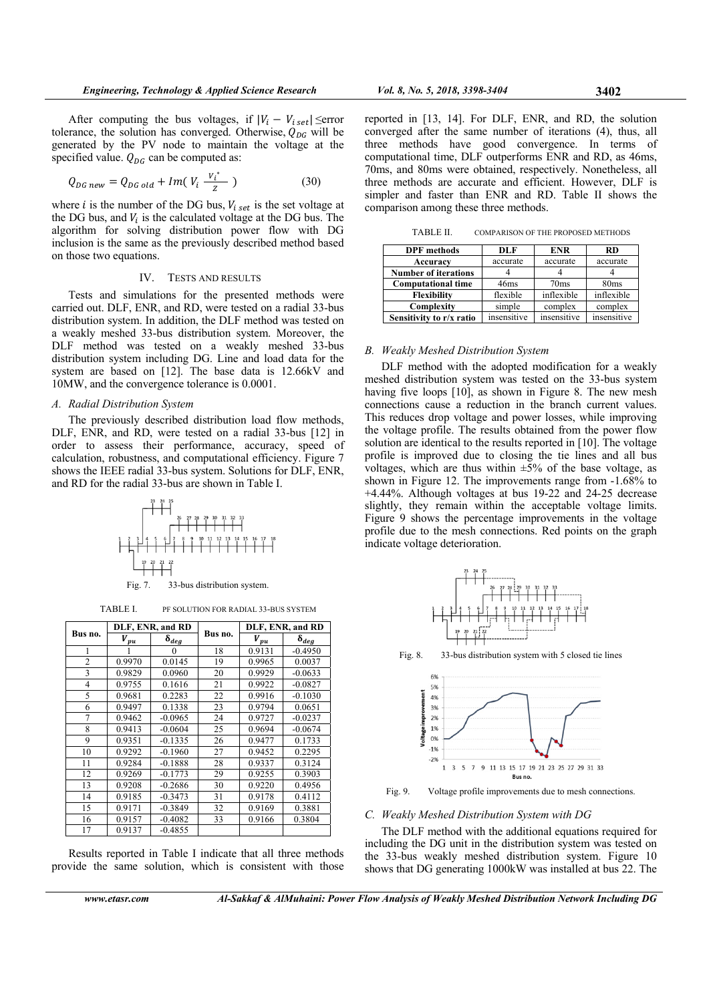After computing the bus voltages, if  $|V_i - V_{i,set}| \le$ error tolerance, the solution has converged. Otherwise,  $Q_{DG}$  will be generated by the PV node to maintain the voltage at the specified value.  $Q_{DG}$  can be computed as:

$$
Q_{DG\ new} = Q_{DG\ old} + Im(V_i \frac{V_i^*}{Z})
$$
 (30)

where *i* is the number of the DG bus,  $V_{i, set}$  is the set voltage at the DG bus, and  $V_i$  is the calculated voltage at the DG bus. The algorithm for solving distribution power flow with DG inclusion is the same as the previously described method based on those two equations.

#### IV. TESTS AND RESULTS

Tests and simulations for the presented methods were carried out. DLF, ENR, and RD, were tested on a radial 33-bus distribution system. In addition, the DLF method was tested on a weakly meshed 33-bus distribution system. Moreover, the DLF method was tested on a weakly meshed 33-bus distribution system including DG. Line and load data for the system are based on [12]. The base data is 12.66kV and 10MW, and the convergence tolerance is 0.0001.

#### *A. Radial Distribution System*

The previously described distribution load flow methods, DLF, ENR, and RD, were tested on a radial 33-bus [12] in order to assess their performance, accuracy, speed of calculation, robustness, and computational efficiency. Figure 7 shows the IEEE radial 33-bus system. Solutions for DLF, ENR, and RD for the radial 33-bus are shown in Table I.



TABLE I. PF SOLUTION FOR RADIAL 33-BUS SYSTEM

| Bus no. | DLF, ENR, and RD |                |         | DLF, ENR, and RD                 |                |
|---------|------------------|----------------|---------|----------------------------------|----------------|
|         | $V_{pu}$         | $\delta_{deg}$ | Bus no. | $V_{\underline{p}\underline{u}}$ | $\delta_{deg}$ |
| 1       |                  | 0              | 18      | 0.9131                           | $-0.4950$      |
| 2       | 0.9970           | 0.0145         | 19      | 0.9965                           | 0.0037         |
| 3       | 0.9829           | 0.0960         | 20      | 0.9929                           | $-0.0633$      |
| 4       | 0.9755           | 0.1616         | 21      | 0.9922                           | $-0.0827$      |
| 5       | 0.9681           | 0.2283         | 22      | 0.9916                           | $-0.1030$      |
| 6       | 0.9497           | 0.1338         | 23      | 0.9794                           | 0.0651         |
| 7       | 0.9462           | $-0.0965$      | 24      | 0.9727                           | $-0.0237$      |
| 8       | 0.9413           | $-0.0604$      | 25      | 0.9694                           | $-0.0674$      |
| 9       | 0.9351           | $-0.1335$      | 26      | 0.9477                           | 0.1733         |
| 10      | 0.9292           | $-0.1960$      | 27      | 0.9452                           | 0.2295         |
| 11      | 0.9284           | $-0.1888$      | 28      | 0.9337                           | 0.3124         |
| 12      | 0.9269           | $-0.1773$      | 29      | 0.9255                           | 0.3903         |
| 13      | 0.9208           | $-0.2686$      | 30      | 0.9220                           | 0.4956         |
| 14      | 0.9185           | $-0.3473$      | 31      | 0.9178                           | 0.4112         |
| 15      | 0.9171           | $-0.3849$      | 32      | 0.9169                           | 0.3881         |
| 16      | 0.9157           | $-0.4082$      | 33      | 0.9166                           | 0.3804         |
| 17      | 0.9137           | $-0.4855$      |         |                                  |                |

Results reported in Table I indicate that all three methods provide the same solution, which is consistent with those reported in [13, 14]. For DLF, ENR, and RD, the solution converged after the same number of iterations (4), thus, all three methods have good convergence. In terms of computational time, DLF outperforms ENR and RD, as 46ms, 70ms, and 80ms were obtained, respectively. Nonetheless, all three methods are accurate and efficient. However, DLF is simpler and faster than ENR and RD. Table II shows the comparison among these three methods.

TABLE II. COMPARISON OF THE PROPOSED METHODS

| <b>DPF</b> methods          | DLF              | ENR              | RD               |
|-----------------------------|------------------|------------------|------------------|
| Accuracy                    | accurate         | accurate         | accurate         |
| <b>Number of iterations</b> |                  |                  |                  |
| <b>Computational time</b>   | 46 <sub>ms</sub> | 70 <sub>ms</sub> | 80 <sub>ms</sub> |
| <b>Flexibility</b>          | flexible         | inflexible       | inflexible       |
| Complexity                  | simple           | complex          | complex          |
| Sensitivity to r/x ratio    | insensitive      | insensitive      | insensitive      |

# *B. Weakly Meshed Distribution System*

DLF method with the adopted modification for a weakly meshed distribution system was tested on the 33-bus system having five loops [10], as shown in Figure 8. The new mesh connections cause a reduction in the branch current values. This reduces drop voltage and power losses, while improving the voltage profile. The results obtained from the power flow solution are identical to the results reported in [10]. The voltage profile is improved due to closing the tie lines and all bus voltages, which are thus within  $\pm 5\%$  of the base voltage, as shown in Figure 12. The improvements range from -1.68% to +4.44%. Although voltages at bus 19-22 and 24-25 decrease slightly, they remain within the acceptable voltage limits. Figure 9 shows the percentage improvements in the voltage profile due to the mesh connections. Red points on the graph indicate voltage deterioration.



Fig. 8. 33-bus distribution system with 5 closed tie lines



Fig. 9. Voltage profile improvements due to mesh connections.

*C. Weakly Meshed Distribution System with DG* 

The DLF method with the additional equations required for including the DG unit in the distribution system was tested on the 33-bus weakly meshed distribution system. Figure 10 shows that DG generating 1000kW was installed at bus 22. The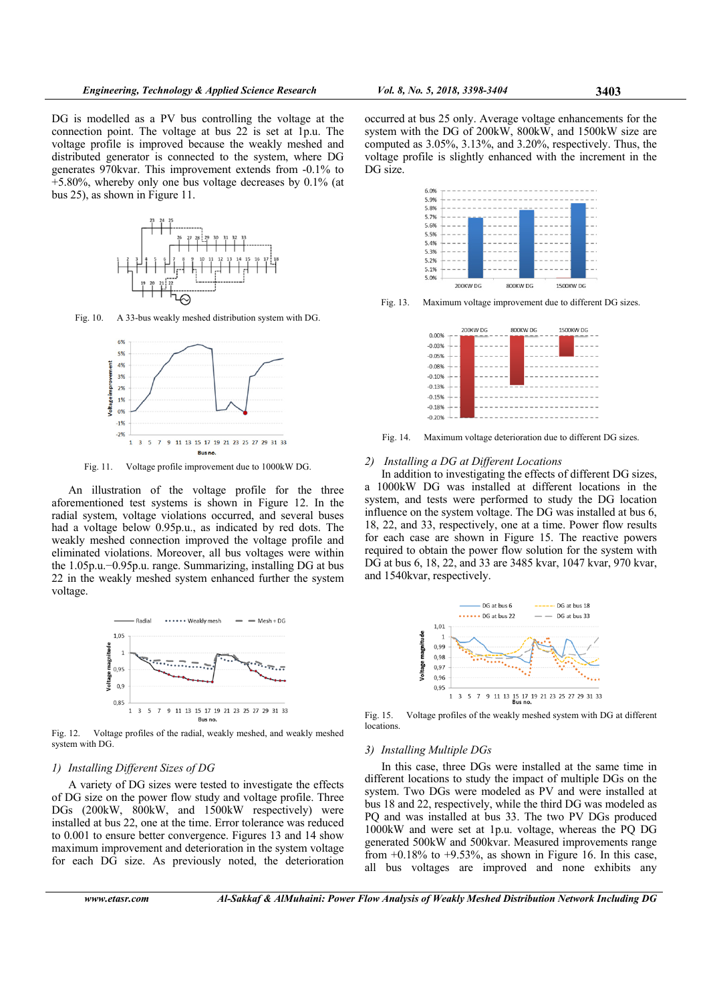DG is modelled as a PV bus controlling the voltage at the connection point. The voltage at bus 22 is set at 1p.u. The voltage profile is improved because the weakly meshed and distributed generator is connected to the system, where DG generates 970kvar. This improvement extends from -0.1% to  $+5.80\%$ , whereby only one bus voltage decreases by 0.1% (at bus 25), as shown in Figure 11.



Fig. 10. A 33-bus weakly meshed distribution system with DG.



Fig. 11. Voltage profile improvement due to 1000kW DG.

An illustration of the voltage profile for the three aforementioned test systems is shown in Figure 12. In the radial system, voltage violations occurred, and several buses had a voltage below 0.95p.u., as indicated by red dots. The weakly meshed connection improved the voltage profile and eliminated violations. Moreover, all bus voltages were within the 1.05p.u.−0.95p.u. range. Summarizing, installing DG at bus 22 in the weakly meshed system enhanced further the system voltage.



Fig. 12. Voltage profiles of the radial, weakly meshed, and weakly meshed system with DG.

# *1) Installing Different Sizes of DG*

A variety of DG sizes were tested to investigate the effects of DG size on the power flow study and voltage profile. Three DGs (200kW, 800kW, and 1500kW respectively) were installed at bus 22, one at the time. Error tolerance was reduced to 0.001 to ensure better convergence. Figures 13 and 14 show maximum improvement and deterioration in the system voltage for each DG size. As previously noted, the deterioration

occurred at bus 25 only. Average voltage enhancements for the system with the DG of 200kW, 800kW, and 1500kW size are computed as 3.05%, 3.13%, and 3.20%, respectively. Thus, the voltage profile is slightly enhanced with the increment in the DG size.



Fig. 13. Maximum voltage improvement due to different DG sizes.



Fig. 14. Maximum voltage deterioration due to different DG sizes.

# *2) Installing a DG at Different Locations*

In addition to investigating the effects of different DG sizes, a 1000kW DG was installed at different locations in the system, and tests were performed to study the DG location influence on the system voltage. The DG was installed at bus 6, 18, 22, and 33, respectively, one at a time. Power flow results for each case are shown in Figure 15. The reactive powers required to obtain the power flow solution for the system with DG at bus 6, 18, 22, and 33 are 3485 kvar, 1047 kvar, 970 kvar, and 1540kvar, respectively.



Fig. 15. Voltage profiles of the weakly meshed system with DG at different locations.

#### *3) Installing Multiple DGs*

In this case, three DGs were installed at the same time in different locations to study the impact of multiple DGs on the system. Two DGs were modeled as PV and were installed at bus 18 and 22, respectively, while the third DG was modeled as PQ and was installed at bus 33. The two PV DGs produced 1000kW and were set at 1p.u. voltage, whereas the PQ DG generated 500kW and 500kvar. Measured improvements range from  $+0.18\%$  to  $+9.53\%$ , as shown in Figure 16. In this case, all bus voltages are improved and none exhibits any